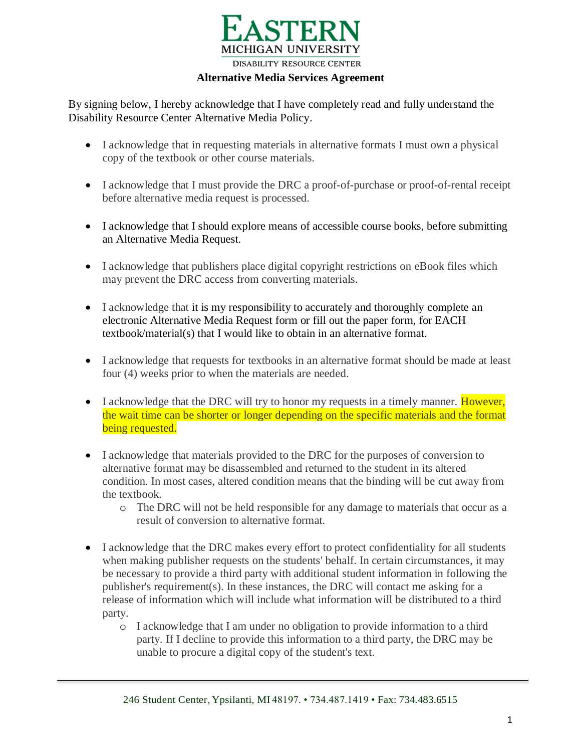

**Alternative Media Services Agreement**

By signing below, I hereby acknowledge that I have completely read and fully understand the Disability Resource Center Alternative Media Policy.

- I acknowledge that in requesting materials in alternative formats I must own a physical copy of the textbook or other course materials.
- I acknowledge that I must provide the DRC a proof-of-purchase or proof-of-rental receipt before alternative media request is processed.
- I acknowledge that I should explore means of accessible course books, before submitting an Alternative Media Request.
- I acknowledge that publishers place digital copyright restrictions on eBook files which may prevent the DRC access from converting materials.
- I acknowledge that it is my responsibility to accurately and thoroughly complete an electronic Alternative Media Request form or fill out the paper form, for EACH textbook/material(s) that I would like to obtain in an alternative format.
- I acknowledge that requests for textbooks in an alternative format should be made at least four (4) weeks prior to when the materials are needed.
- I acknowledge that the DRC will try to honor my requests in a timely manner. However, the wait time can be shorter or longer depending on the specific materials and the format being requested.
- I acknowledge that materials provided to the DRC for the purposes of conversion to alternative format may be disassembled and returned to the student in its altered condition. In most cases, altered condition means that the binding will be cut away from the textbook.
	- o The DRC will not be held responsible for any damage to materials that occur as a result of conversion to alternative format.
- I acknowledge that the DRC makes every effort to protect confidentiality for all students when making publisher requests on the students' behalf. In certain circumstances, it may be necessary to provide a third party with additional student information in following the publisher's requirement(s). In these instances, the DRC will contact me asking for a release of information which will include what information will be distributed to a third party.
	- o I acknowledge that I am under no obligation to provide information to a third party. If I decline to provide this information to a third party, the DRC may be unable to procure a digital copy of the student's text.